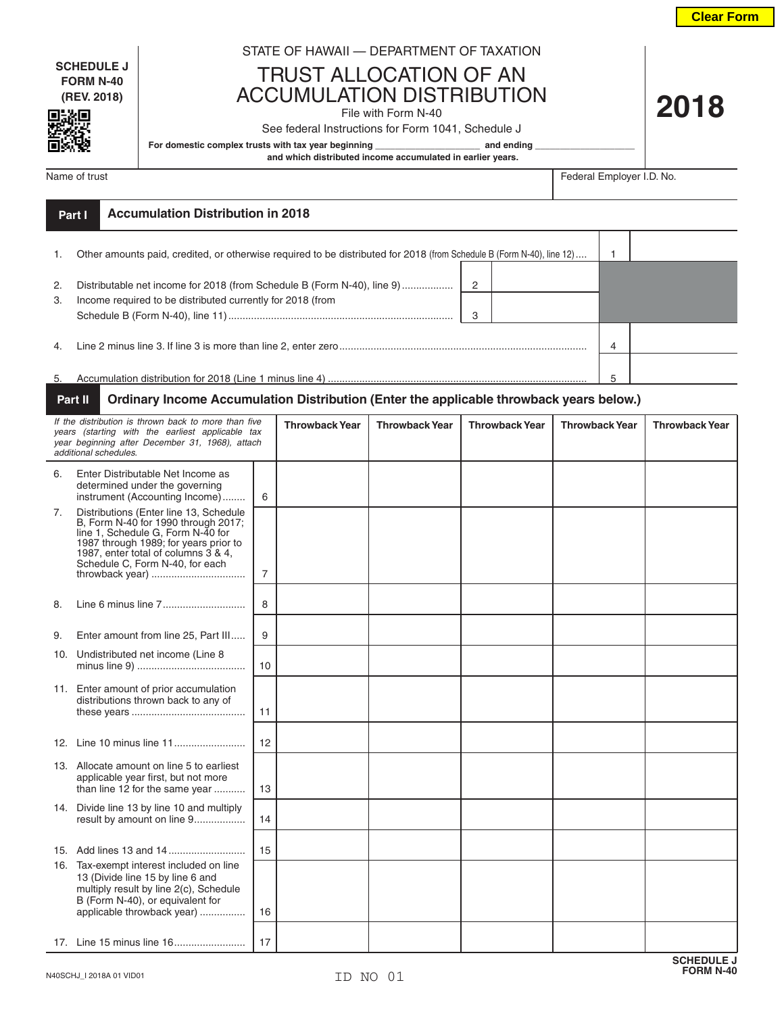**Clear Form**

**2018**

**SCHEDULE J FORM N-40 (REV. 2018)**

:0

## STATE OF HAWAII — DEPARTMENT OF TAXATION

TRUST ALLOCATION OF AN ACCUMULATION DISTRIBUTION

## File with Form N-40

See federal Instructions for Form 1041, Schedule J

For domestic complex trusts with tax year beginning **\_\_\_\_\_\_\_\_\_\_\_\_\_\_\_\_\_\_\_\_** and ending

 **and which distributed income accumulated in earlier years.**

Name of trust Federal Employer I.D. No.

|          | Part I | <b>Accumulation Distribution in 2018</b>                                                                                              |        |   |  |
|----------|--------|---------------------------------------------------------------------------------------------------------------------------------------|--------|---|--|
|          |        | Other amounts paid, credited, or otherwise required to be distributed for 2018 (from Schedule B (Form N-40), line 12)                 |        |   |  |
| 2.<br>3. |        | Distributable net income for 2018 (from Schedule B (Form N-40), line 9)<br>Income required to be distributed currently for 2018 (from | 2<br>3 |   |  |
| 4.       |        |                                                                                                                                       |        | 4 |  |
| 5.       |        |                                                                                                                                       |        | 5 |  |

## **Part II Ordinary Income Accumulation Distribution (Enter the applicable throwback years below.)**

| If the distribution is thrown back to more than five<br>years (starting with the earliest applicable tax<br>year beginning after December 31, 1968), attach<br>additional schedules. |                                                                                                                                                                                                                                                          |                | <b>Throwback Year</b> | <b>Throwback Year</b> | <b>Throwback Year</b> | <b>Throwback Year</b> | <b>Throwback Year</b> |
|--------------------------------------------------------------------------------------------------------------------------------------------------------------------------------------|----------------------------------------------------------------------------------------------------------------------------------------------------------------------------------------------------------------------------------------------------------|----------------|-----------------------|-----------------------|-----------------------|-----------------------|-----------------------|
| 6.                                                                                                                                                                                   | Enter Distributable Net Income as<br>determined under the governing<br>instrument (Accounting Income)                                                                                                                                                    | 6              |                       |                       |                       |                       |                       |
| 7.                                                                                                                                                                                   | Distributions (Enter line 13, Schedule<br>B, Form N-40 for 1990 through 2017;<br>line 1, Schedule G, Form N-40 for<br>1987 through 1989; for years prior to<br>1987, enter total of columns 3 & 4,<br>Schedule C, Form N-40, for each<br>throwback year) | $\overline{7}$ |                       |                       |                       |                       |                       |
| 8.                                                                                                                                                                                   |                                                                                                                                                                                                                                                          | 8              |                       |                       |                       |                       |                       |
| 9.                                                                                                                                                                                   | Enter amount from line 25, Part III                                                                                                                                                                                                                      | 9              |                       |                       |                       |                       |                       |
| 10.                                                                                                                                                                                  | Undistributed net income (Line 8                                                                                                                                                                                                                         | 10             |                       |                       |                       |                       |                       |
|                                                                                                                                                                                      | 11. Enter amount of prior accumulation<br>distributions thrown back to any of                                                                                                                                                                            | 11             |                       |                       |                       |                       |                       |
|                                                                                                                                                                                      |                                                                                                                                                                                                                                                          | 12             |                       |                       |                       |                       |                       |
|                                                                                                                                                                                      | 13. Allocate amount on line 5 to earliest<br>applicable year first, but not more<br>than line 12 for the same year                                                                                                                                       | 13             |                       |                       |                       |                       |                       |
|                                                                                                                                                                                      | 14. Divide line 13 by line 10 and multiply<br>result by amount on line 9                                                                                                                                                                                 | 14             |                       |                       |                       |                       |                       |
|                                                                                                                                                                                      |                                                                                                                                                                                                                                                          | 15             |                       |                       |                       |                       |                       |
|                                                                                                                                                                                      | 16. Tax-exempt interest included on line<br>13 (Divide line 15 by line 6 and<br>multiply result by line 2(c), Schedule<br>B (Form N-40), or equivalent for<br>applicable throwback year)                                                                 | 16             |                       |                       |                       |                       |                       |
|                                                                                                                                                                                      |                                                                                                                                                                                                                                                          | 17             |                       |                       |                       |                       |                       |